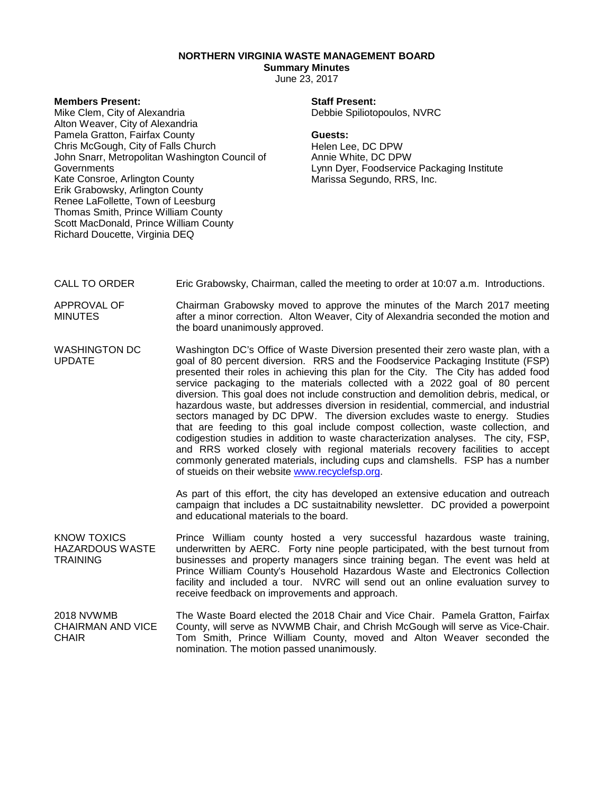## **NORTHERN VIRGINIA WASTE MANAGEMENT BOARD**

# **Summary Minutes**

June 23, 2017

#### **Members Present:**

Mike Clem, City of Alexandria Alton Weaver, City of Alexandria Pamela Gratton, Fairfax County Chris McGough, City of Falls Church John Snarr, Metropolitan Washington Council of Governments Kate Consroe, Arlington County Erik Grabowsky, Arlington County Renee LaFollette, Town of Leesburg Thomas Smith, Prince William County Scott MacDonald, Prince William County Richard Doucette, Virginia DEQ

## **Staff Present:**

Debbie Spiliotopoulos, NVRC

#### **Guests:**

Helen Lee, DC DPW Annie White, DC DPW Lynn Dyer, Foodservice Packaging Institute Marissa Segundo, RRS, Inc.

- CALL TO ORDER Eric Grabowsky, Chairman, called the meeting to order at 10:07 a.m. Introductions.
- APPROVAL OF MINUTES Chairman Grabowsky moved to approve the minutes of the March 2017 meeting after a minor correction. Alton Weaver, City of Alexandria seconded the motion and the board unanimously approved.
- WASHINGTON DC UPDATE Washington DC's Office of Waste Diversion presented their zero waste plan, with a goal of 80 percent diversion. RRS and the Foodservice Packaging Institute (FSP) presented their roles in achieving this plan for the City. The City has added food service packaging to the materials collected with a 2022 goal of 80 percent diversion. This goal does not include construction and demolition debris, medical, or hazardous waste, but addresses diversion in residential, commercial, and industrial sectors managed by DC DPW. The diversion excludes waste to energy. Studies that are feeding to this goal include compost collection, waste collection, and codigestion studies in addition to waste characterization analyses. The city, FSP, and RRS worked closely with regional materials recovery facilities to accept commonly generated materials, including cups and clamshells. FSP has a number of stueids on their website [www.recyclefsp.org.](http://www.recyclefsp.org/)

As part of this effort, the city has developed an extensive education and outreach campaign that includes a DC sustaitnability newsletter. DC provided a powerpoint and educational materials to the board.

KNOW TOXICS HAZARDOUS WASTE TRAINING Prince William county hosted a very successful hazardous waste training, underwritten by AERC. Forty nine people participated, with the best turnout from businesses and property managers since training began. The event was held at Prince William County's Household Hazardous Waste and Electronics Collection facility and included a tour. NVRC will send out an online evaluation survey to receive feedback on improvements and approach.

2018 NVWMB CHAIRMAN AND VICE **CHAIR** The Waste Board elected the 2018 Chair and Vice Chair. Pamela Gratton, Fairfax County, will serve as NVWMB Chair, and Chrish McGough will serve as Vice-Chair. Tom Smith, Prince William County, moved and Alton Weaver seconded the nomination. The motion passed unanimously.